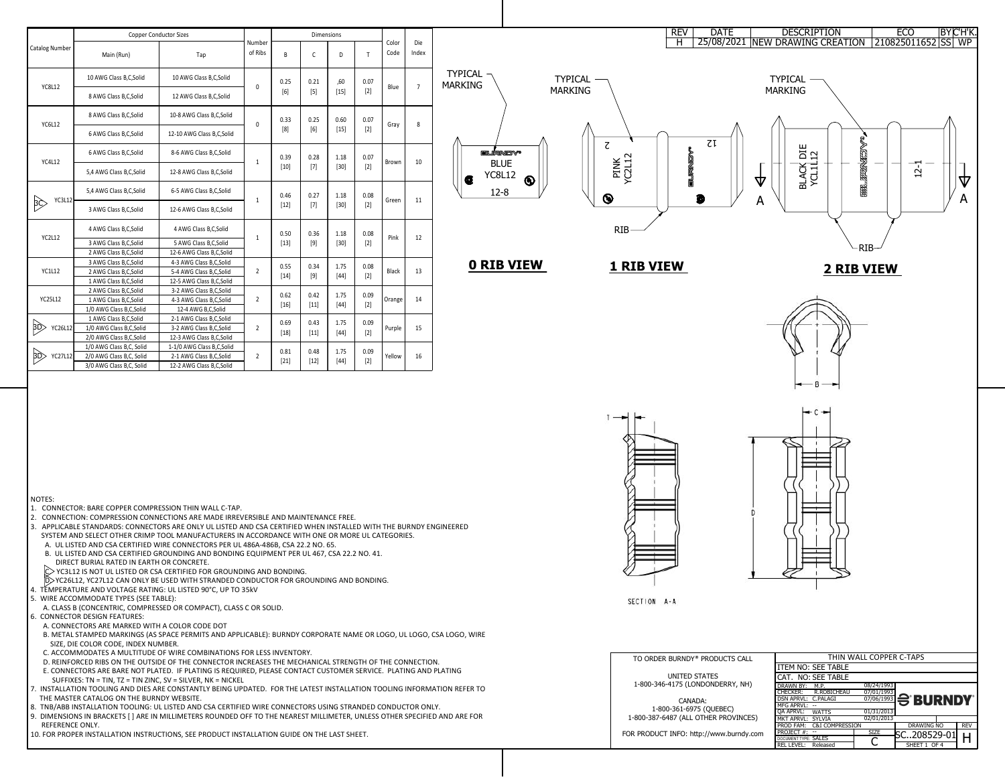

- D. YC26L12, YC27L12 CAN ONLY BE USED WITH STRANDED CONDUCTOR FOR GROUNDING AND BONDING.
- 4. TEMPERATURE AND VOLTAGE RATING: UL LISTED 90°C, UP TO 35kV
- 5. WIRE ACCOMMODATE TYPES (SEE TABLE):
- A. CLASS B (CONCENTRIC, COMPRESSED OR COMPACT), CLASS C OR SOLID.
- 6. CONNECTOR DESIGN FEATURES:
	- A. CONNECTORS ARE MARKED WITH A COLOR CODE DOT
- B. METAL STAMPED MARKINGS (AS SPACE PERMITS AND APPLICABLE): BURNDY CORPORATE NAME OR LOGO, UL LOGO, CSA LOGO, WIRE SIZE, DIE COLOR CODE, INDEX NUMBER.
- C. ACCOMMODATES A MULTITUDE OF WIRE COMBINATIONS FOR LESS INVENTORY.
- D. REINFORCED RIBS ON THE OUTSIDE OF THE CONNECTOR INCREASES THE MECHANICAL STRENGTH OF THE CONNECTION.
- E. CONNECTORS ARE BARE NOT PLATED. IF PLATING IS REQUIRED, PLEASE CONTACT CUSTOMER SERVICE. PLATING AND PLATING
- SUFFIXES: TN = TIN, TZ = TIN ZINC, SV = SILVER, NK = NICKEL
- 7. INSTALLATION TOOLING AND DIES ARE CONSTANTLY BEING UPDATED. FOR THE LATEST INSTALLATION TOOLING INFORMATION REFER TO THE MASTER CATALOG ON THE BURNDY WEBSITE.
- 8. TNB/ABB INSTALLATION TOOLING: UL LISTED AND CSA CERTIFIED WIRE CONNECTORS USING STRANDED CONDUCTOR ONLY.
- 9. DIMENSIONS IN BRACKETS [ ] ARE IN MILLIMETERS ROUNDED OFF TO THE NEAREST MILLIMETER, UNLESS OTHER SPECIFIED AND ARE FOR REFERENCE ONLY.
- 10. FOR PROPER INSTALLATION INSTRUCTIONS, SEE PRODUCT INSTALLATION GUIDE ON THE LAST SHEET.



|                       | <b>Copper Conductor Sizes</b> |                            | <b>Dimensions</b> |                |                |                |               |               |                |                                  |
|-----------------------|-------------------------------|----------------------------|-------------------|----------------|----------------|----------------|---------------|---------------|----------------|----------------------------------|
| <b>Catalog Number</b> | Main (Run)                    | Tap                        | Number<br>of Ribs | B              | $\mathsf{C}$   | D              | T             | Color<br>Code | Die<br>Index   |                                  |
| <b>YC8L12</b>         | 10 AWG Class B, C, Solid      | 10 AWG Class B, C, Solid   |                   | 0.25<br>[6]    | 0.21<br>$[5]$  | ,60            | 0.07          |               | $\overline{7}$ | <b>TYPICAL</b><br><b>MARKING</b> |
|                       | 8 AWG Class B, C, Solid       | 12 AWG Class B, C, Solid   | 0                 |                |                | $[15]$         | $[2]$         | Blue          |                |                                  |
| YC6L12                | 8 AWG Class B, C, Solid       | 10-8 AWG Class B, C, Solid | 0                 | 0.33<br>[8]    | 0.25<br>[6]    | 0.60<br>$[15]$ | 0.07<br>$[2]$ | Gray          | 8              |                                  |
|                       | 6 AWG Class B, C, Solid       | 12-10 AWG Class B,C,Solid  |                   |                |                |                |               |               |                |                                  |
| <b>YC4L12</b>         | 6 AWG Class B, C, Solid       | 8-6 AWG Class B, C, Solid  | $\mathbf 1$       | 0.39<br>$[10]$ | 0.28<br>$[7]$  | 1.18           | 0.07          | Brown         | 10             | <b>EN NEWSY</b><br><b>BLUE</b>   |
|                       | 5,4 AWG Class B, C, Solid     | 12-8 AWG Class B, C, Solid |                   |                |                | $[30]$         | $[2]$         |               |                | <b>YC8L12</b><br>Œ               |
| <b>YC3L12</b>         | 5,4 AWG Class B,C,Solid       | 6-5 AWG Class B, C, Solid  | $\mathbf 1$       | 0.46           | 0.27           | 1.18           | 0.08<br>$[2]$ | Green         | 11             | G<br>$12 - 8$                    |
| BÇ                    | 3 AWG Class B, C, Solid       | 12-6 AWG Class B, C, Solid |                   | $[12]$         | $[7]$          | $[30]$         |               |               |                |                                  |
| <b>YC2L12</b>         | 4 AWG Class B, C, Solid       | 4 AWG Class B, C, Solid    | 1                 | 0.50<br>$[13]$ | 0.36<br>$[9]$  | 1.18           | 0.08<br>$[2]$ | Pink          | 12             |                                  |
|                       | 3 AWG Class B, C, Solid       | 5 AWG Class B, C, Solid    |                   |                |                | $[30]$         |               |               |                |                                  |
|                       | 2 AWG Class B, C, Solid       | 12-6 AWG Class B, C, Solid |                   |                |                |                |               |               |                |                                  |
|                       | 3 AWG Class B, C, Solid       | 4-3 AWG Class B, C, Solid  |                   | 0.55           | 0.34           | 1.75           | 0.08          |               |                | <b>0 RIB VIE</b>                 |
| <b>YC1L12</b>         | 2 AWG Class B, C, Solid       | 5-4 AWG Class B, C, Solid  | $\overline{2}$    | $[14]$         | $[9]$          | $[44]$         | $[2]$         | <b>Black</b>  | 13             |                                  |
|                       | 1 AWG Class B, C, Solid       | 12-5 AWG Class B, C, Solid |                   |                |                |                |               |               |                |                                  |
|                       | 2 AWG Class B, C, Solid       | 3-2 AWG Class B, C, Solid  |                   | 0.62           | 0.42           | 1.75           | 0.09          |               |                |                                  |
| YC25L12               | 1 AWG Class B, C, Solid       | 4-3 AWG Class B, C, Solid  | $\overline{2}$    | $[16]$         | $[11]$         | $[44]$         | $[2]$         | Orange        | 14             |                                  |
|                       | 1/0 AWG Class B, C, Solid     | 12-4 AWG B,C,Solid         |                   |                |                |                |               |               |                |                                  |
|                       | 1 AWG Class B, C, Solid       | 2-1 AWG Class B, C, Solid  |                   | 0.69           | 0.43           | 1.75           | 0.09          |               |                |                                  |
| BD)<br>YC26L12        | 1/0 AWG Class B, C, Solid     | 3-2 AWG Class B, C, Solid  | $\overline{2}$    | $[18]$         | $[11]$         | $[44]$         | $[2]$         | Purple        | 15             |                                  |
|                       | 2/0 AWG Class B, C, Solid     | 12-3 AWG Class B, C, Solid |                   |                |                |                |               |               |                |                                  |
|                       | 1/0 AWG Class B,C, Solid      | 1-1/0 AWG Class B,C,Solid  |                   | 0.81<br>$[21]$ | 0.48<br>$[12]$ | 1.75<br>$[44]$ | 0.09<br>$[2]$ |               | 16             |                                  |
| BD<br>YC27L12         | 2/0 AWG Class B,C, Solid      | 2-1 AWG Class B, C, Solid  | $\overline{2}$    |                |                |                |               | Yellow        |                |                                  |
|                       | 3/0 AWG Class B,C, Solid      | 12-2 AWG Class B, C, Solid |                   |                |                |                |               |               |                |                                  |

NOTES:

- 1. CONNECTOR: BARE COPPER COMPRESSION THIN WALL C-TAP.
- 2. CONNECTION: COMPRESSION CONNECTIONS ARE MADE IRREVERSIBLE AND MAINTENANCE FREE.
- 3. APPLICABLE STANDARDS: CONNECTORS ARE ONLY UL LISTED AND CSA CERTIFIED WHEN INSTALLED WITH THE BURNDY ENGINEERED SYSTEM AND SELECT OTHER CRIMP TOOL MANUFACTURERS IN ACCORDANCE WITH ONE OR MORE UL CATEGORIES.
- A. UL LISTED AND CSA CERTIFIED WIRE CONNECTORS PER UL 486A-486B, CSA 22.2 NO. 65.
- B. UL LISTED AND CSA CERTIFIED GROUNDING AND BONDING EQUIPMENT PER UL 467, CSA 22.2 NO. 41. DIRECT BURIAL RATED IN EARTH OR CONCRETE.

YC3L12 IS NOT UL LISTED OR CSA CERTIFIED FOR GROUNDING AND BONDING.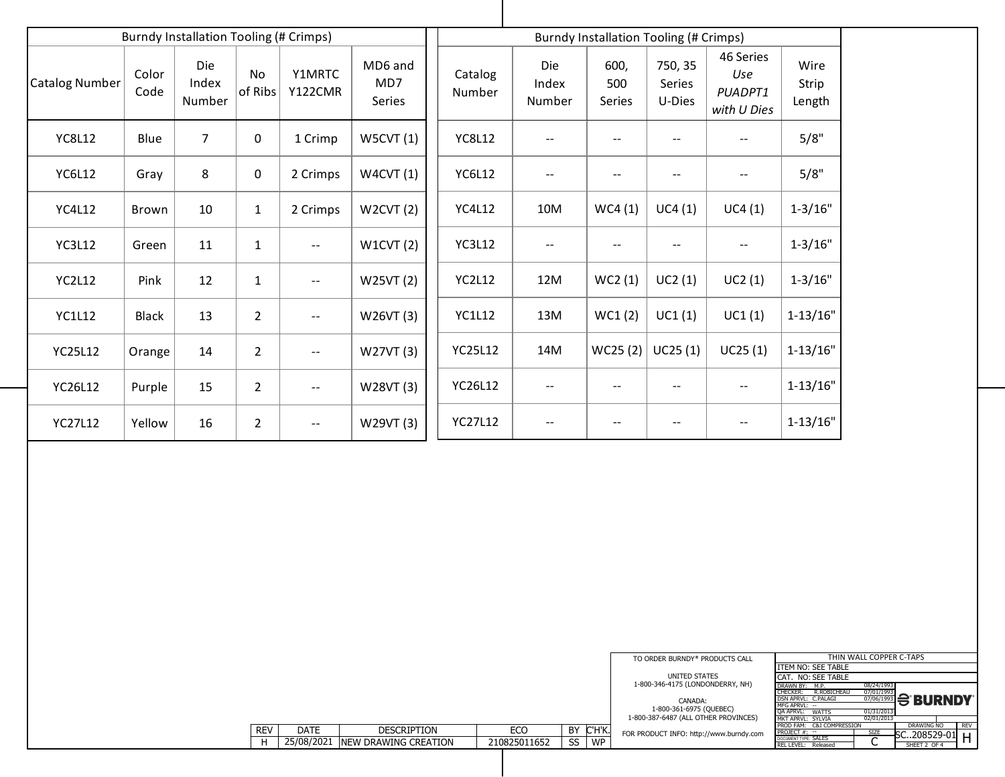|                       |               | <b>Burndy Installation Tooling (# Crimps)</b> |                      |                                                   |                          |                   | <b>Burndy Installation Tooling (# Crimps)</b> |                              |                                    |                                                   |                         |  |
|-----------------------|---------------|-----------------------------------------------|----------------------|---------------------------------------------------|--------------------------|-------------------|-----------------------------------------------|------------------------------|------------------------------------|---------------------------------------------------|-------------------------|--|
| <b>Catalog Number</b> | Color<br>Code | <b>Die</b><br>Index<br><b>Number</b>          | <b>No</b><br>of Ribs | Y1MRTC<br><b>Y122CMR</b>                          | MD6 and<br>MD7<br>Series | Catalog<br>Number | Die<br>Index<br><b>Number</b>                 | 600,<br>500<br><b>Series</b> | 750, 35<br><b>Series</b><br>U-Dies | <b>46 Series</b><br>Use<br>PUADPT1<br>with U Dies | Wire<br>Strip<br>Length |  |
| <b>YC8L12</b>         | <b>Blue</b>   | $\overline{7}$                                | $\overline{0}$       | 1 Crimp                                           | W5CVT(1)                 | <b>YC8L12</b>     |                                               |                              | $\overline{\phantom{m}}$           |                                                   | 5/8"                    |  |
| <b>YC6L12</b>         | Gray          | 8                                             | $\mathbf{0}$         | 2 Crimps                                          | W4CVT(1)                 | <b>YC6L12</b>     |                                               | --                           | $\overline{\phantom{m}}$           | $\overline{\phantom{m}}$                          | 5/8"                    |  |
| <b>YC4L12</b>         | Brown         | 10                                            | $\mathbf{1}$         | 2 Crimps                                          | W2CVT(2)                 | <b>YC4L12</b>     | 10M                                           | WC4(1)                       | UC4(1)                             | UC4(1)                                            | $1 - 3/16"$             |  |
| <b>YC3L12</b>         | Green         | 11                                            | $\mathbf{1}$         | $\overline{\phantom{m}}$                          | W1CVT(2)                 | <b>YC3L12</b>     |                                               | --                           | $\overline{\phantom{m}}$           | $\overline{\phantom{m}}$                          | $1 - 3/16"$             |  |
| <b>YC2L12</b>         | Pink          | 12                                            | $\mathbf{1}$         | $\overline{\phantom{m}}$ $\overline{\phantom{m}}$ | W25VT (2)                | <b>YC2L12</b>     | 12M                                           | WC2(1)                       | UC2(1)                             | UC2(1)                                            | $1 - 3/16"$             |  |
| <b>YC1L12</b>         | <b>Black</b>  | 13                                            | 2 <sup>1</sup>       | $\overline{\phantom{a}}$ .                        | W26VT (3)                | <b>YC1L12</b>     | 13M                                           | WC1(2)                       | UC1(1)                             | UC1(1)                                            | $1 - 13/16"$            |  |
| <b>YC25L12</b>        | Orange        | 14                                            | $\overline{2}$       | $\mathord{\hspace{1pt}\text{--}\hspace{1pt}}$     | W27VT (3)                | <b>YC25L12</b>    | 14M                                           | WC25(2)                      | UC25(1)                            | UC25(1)                                           | $1-13/16"$              |  |
| <b>YC26L12</b>        | Purple        | 15                                            | $2 \overline{ }$     | $\overline{\phantom{m}}$                          | W28VT (3)                | <b>YC26L12</b>    | $\overline{\phantom{a}}$                      | --                           | $\qquad \qquad -$                  | $\qquad \qquad -$                                 | $1 - 13/16"$            |  |
| <b>YC27L12</b>        | Yellow        | 16                                            | 2 <sup>1</sup>       | $\overline{\phantom{a}}$                          | W29VT (3)                | <b>YC27L12</b>    | $\qquad \qquad -$                             | --                           | $\overline{\phantom{m}}$           | $\overline{\phantom{m}}$                          | $1 - 13/16"$            |  |

|   |           | TO ORDER BURNDY® PRODUCTS CALL          | THIN WALL COPPER C-TAPS        |             |                    |            |  |  |  |  |
|---|-----------|-----------------------------------------|--------------------------------|-------------|--------------------|------------|--|--|--|--|
|   |           |                                         | ITEM NO: SEE TABLE             |             |                    |            |  |  |  |  |
|   |           | UNITED STATES                           | CAT. NO: SEE TABLE             |             |                    |            |  |  |  |  |
|   |           | 1-800-346-4175 (LONDONDERRY, NH)        | DRAWN BY:<br>M.P.              | 08/24/1993  |                    |            |  |  |  |  |
|   |           |                                         | R.ROBICHEAU<br><b>CHECKER:</b> | 07/01/1993  |                    |            |  |  |  |  |
|   |           | CANADA:                                 | DSN APRVL: C.PALAGI            | 07/06/1993  | $\bigoplus$ BURNDY |            |  |  |  |  |
|   |           |                                         | MFG APRVL: --                  |             |                    |            |  |  |  |  |
|   |           | 1-800-361-6975 (QUEBEC)                 | QA APRVL:<br><b>WATTS</b>      | 01/31/2013  |                    |            |  |  |  |  |
|   |           | 1-800-387-6487 (ALL OTHER PROVINCES)    | MKT APRVL: SYLVIA              | 02/01/2013  |                    |            |  |  |  |  |
|   |           |                                         | C&I COMPRESSION<br>PROD FAM:   |             | DRAWING NO         | <b>REV</b> |  |  |  |  |
|   | C'H'K.    | FOR PRODUCT INFO: http://www.burndy.com | $PROJECT #: -$                 | <b>SIZE</b> | SC208529-01        |            |  |  |  |  |
| S | <b>WP</b> |                                         | DOCUMENT TYPE: SALES           |             |                    |            |  |  |  |  |
|   |           |                                         | rel Level:<br>Released         |             | SHEET 2 OF 4       |            |  |  |  |  |

| <b>REV</b> | $\triangle$ AT | <b>DESCRIPTION</b>           | FCC<br>◡     | DV |    |
|------------|----------------|------------------------------|--------------|----|----|
|            | 25/08/2021     | <b>INEW DRAWING CREATION</b> | 210825011652 |    | WF |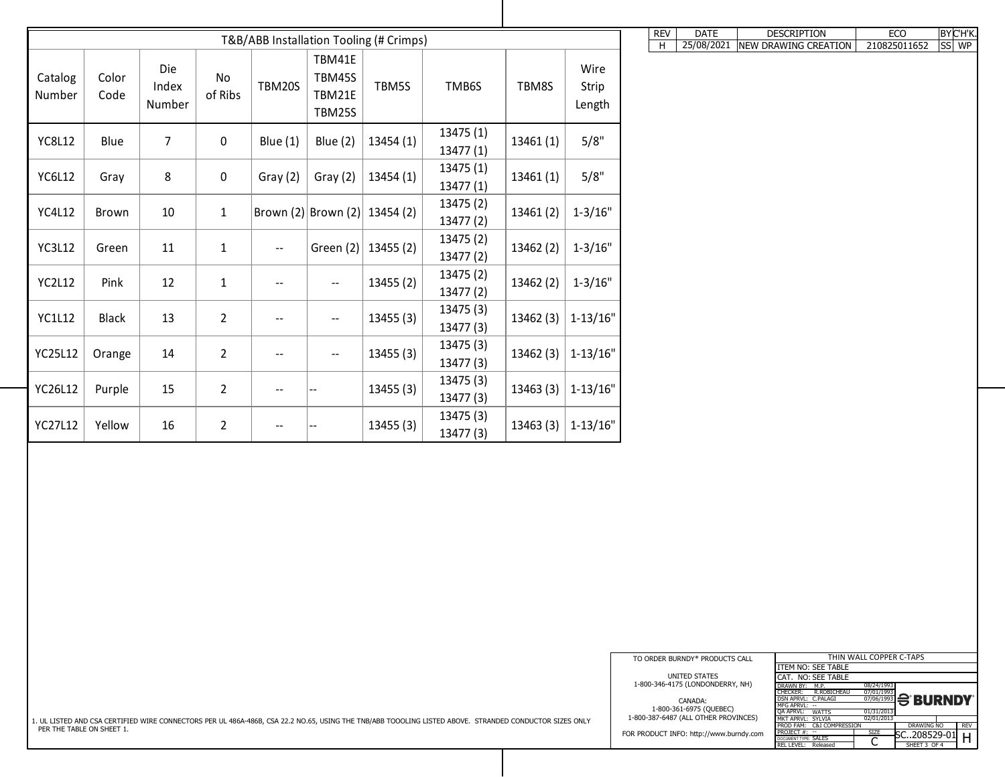| T&B/ABB Installation Tooling (# Crimps) |               |                        |                      |                          |                                             |           |                                                                                                                                                         |                       |                         | REV | <b>DATE</b>                                                                                                           | <b>DESCRIPTION</b>                                                                                                               | ECO                                                                                                             | $BY$ C'H'K. |
|-----------------------------------------|---------------|------------------------|----------------------|--------------------------|---------------------------------------------|-----------|---------------------------------------------------------------------------------------------------------------------------------------------------------|-----------------------|-------------------------|-----|-----------------------------------------------------------------------------------------------------------------------|----------------------------------------------------------------------------------------------------------------------------------|-----------------------------------------------------------------------------------------------------------------|-------------|
| Catalog<br>Number                       | Color<br>Code | Die<br>Index<br>Number | <b>No</b><br>of Ribs | TBM20S                   | TBM41E<br>TBM45S<br>TBM21E<br><b>TBM25S</b> | TBM5S     | TMB6S                                                                                                                                                   | TBM8S                 | Wire<br>Strip<br>Length | H   | 25/08/2021                                                                                                            | NEW DRAWING CREATION                                                                                                             | 210825011652                                                                                                    | $ SS $ WP   |
| <b>YC8L12</b>                           | Blue          | 7 <sup>1</sup>         | $\overline{0}$       | Blue $(1)$               | <b>Blue (2)</b>                             | 13454 (1) | 13475(1)<br>13477(1)                                                                                                                                    | 13461(1)              | 5/8"                    |     |                                                                                                                       |                                                                                                                                  |                                                                                                                 |             |
| <b>YC6L12</b>                           | Gray          | 8                      | $\overline{0}$       | Gray $(2)$               | Gray (2)                                    | 13454(1)  | 13475(1)<br>13477(1)                                                                                                                                    | 13461(1)              | 5/8"                    |     |                                                                                                                       |                                                                                                                                  |                                                                                                                 |             |
| <b>YC4L12</b>                           | Brown         | 10                     | $\mathbf{1}$         |                          | Brown (2) Brown (2) 13454 (2)               |           | 13475(2)<br>13477(2)                                                                                                                                    | 13461(2)              | $1 - 3/16"$             |     |                                                                                                                       |                                                                                                                                  |                                                                                                                 |             |
| <b>YC3L12</b>                           | Green         | 11                     | $\mathbf{1}$         | $--$                     | Green $(2)$                                 | 13455 (2) | 13475(2)<br>13477(2)                                                                                                                                    | 13462(2)              | $1 - 3/16"$             |     |                                                                                                                       |                                                                                                                                  |                                                                                                                 |             |
| <b>YC2L12</b>                           | Pink          | 12                     | $\perp$              | $\qquad \qquad -$        | $--$                                        | 13455(2)  | 13475(2)<br>13477(2)                                                                                                                                    | 13462(2)              | $1 - 3/16"$             |     |                                                                                                                       |                                                                                                                                  |                                                                                                                 |             |
| <b>YC1L12</b>                           | <b>Black</b>  | 13                     | $2\overline{ }$      | $\overline{\phantom{m}}$ | $--$                                        | 13455(3)  | 13475 (3)<br>13477(3)                                                                                                                                   | $13462(3)$ 1-13/16"   |                         |     |                                                                                                                       |                                                                                                                                  |                                                                                                                 |             |
| <b>YC25L12</b>                          | Orange        | 14                     | $2\overline{ }$      | $--$                     | $--$                                        | 13455(3)  | 13475 (3)<br>13477(3)                                                                                                                                   | 13462(3)              | $\vert$ 1-13/16"        |     |                                                                                                                       |                                                                                                                                  |                                                                                                                 |             |
| <b>YC26L12</b>                          | Purple        | 15                     | $2\overline{ }$      | $\overline{\phantom{a}}$ | <b>.</b>                                    | 13455(3)  | 13475(3)<br>13477(3)                                                                                                                                    | $13463(3)$   1-13/16" |                         |     |                                                                                                                       |                                                                                                                                  |                                                                                                                 |             |
| <b>YC27L12</b>                          | Yellow        | 16                     | $\overline{2}$       | $- -$                    | <b>.</b>                                    | 13455(3)  | 13475(3)<br>13477(3)                                                                                                                                    | $13463(3)$   1-13/16" |                         |     |                                                                                                                       |                                                                                                                                  |                                                                                                                 |             |
|                                         |               |                        |                      |                          |                                             |           |                                                                                                                                                         |                       |                         |     |                                                                                                                       |                                                                                                                                  |                                                                                                                 |             |
|                                         |               |                        |                      |                          |                                             |           |                                                                                                                                                         |                       |                         |     | TO ORDER BURNDY <sup>®</sup> PRODUCTS CALL<br>UNITED STATES                                                           | <b>ITEM NO: SEE TABLE</b><br>CAT. NO: SEE TABLE                                                                                  | THIN WALL COPPER C-TAPS                                                                                         |             |
|                                         |               |                        |                      |                          |                                             |           | 1. UL LISTED AND CSA CERTIFIED WIRE CONNECTORS PER UL 486A-486B, CSA 22.2 NO.65, USING THE TNB/ABB TOOOLING LISTED ABOVE. STRANDED CONDUCTOR SIZES ONLY |                       |                         |     | 1-800-346-4175 (LONDONDERRY, NH)<br><b>CANADA:</b><br>1-800-361-6975 (QUEBEC)<br>1-800-387-6487 (ALL OTHER PROVINCES) | DRAWN BY: M.P.<br>R.ROBICHEAU<br><b>CHECKER:</b><br>DSN APRVL: C.PALAGI<br>MFG APRVL: --<br>QA APRVL: WATTS<br>MKT APRVL: SYLVIA | 08/24/1993<br>07/01/1993<br>$\frac{67/06/1993}{07/06/1993}$ $\ominus$ <b>BURNDY</b><br>01/31/2013<br>02/01/2013 |             |
| PER THE TABLE ON SHEET 1.               |               |                        |                      |                          |                                             |           |                                                                                                                                                         |                       |                         |     | FOR PRODUCT INFO: http://www.burndy.com                                                                               | PROD FAM: C&I COMPRESSION<br>PROJECT $#:$ --<br>DOCUMENT TYPE: SALES<br>REL LEVEL: Released                                      | <b>DRAWING NO</b><br><b>SIZE</b><br>$-$ SC208529-01 H <sup>J</sup><br>$\Gamma$<br>U<br>SHEET 3 OF 4             | REV         |